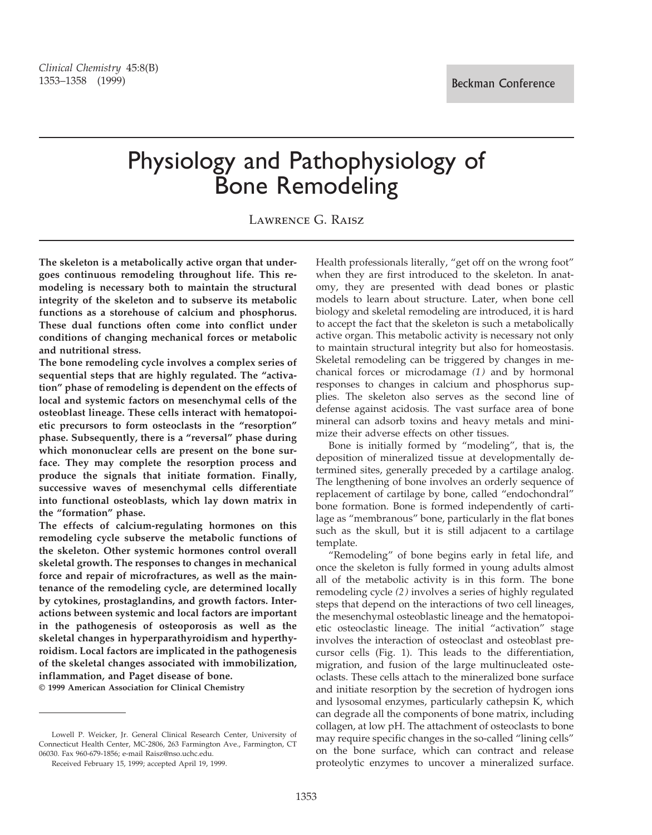# Physiology and Pathophysiology of Bone Remodeling

Lawrence G. Raisz

**The skeleton is a metabolically active organ that undergoes continuous remodeling throughout life. This remodeling is necessary both to maintain the structural integrity of the skeleton and to subserve its metabolic functions as a storehouse of calcium and phosphorus. These dual functions often come into conflict under conditions of changing mechanical forces or metabolic and nutritional stress.**

**The bone remodeling cycle involves a complex series of sequential steps that are highly regulated. The "activation" phase of remodeling is dependent on the effects of local and systemic factors on mesenchymal cells of the osteoblast lineage. These cells interact with hematopoietic precursors to form osteoclasts in the "resorption" phase. Subsequently, there is a "reversal" phase during which mononuclear cells are present on the bone surface. They may complete the resorption process and produce the signals that initiate formation. Finally, successive waves of mesenchymal cells differentiate into functional osteoblasts, which lay down matrix in the "formation" phase.**

**The effects of calcium-regulating hormones on this remodeling cycle subserve the metabolic functions of the skeleton. Other systemic hormones control overall skeletal growth. The responses to changes in mechanical force and repair of microfractures, as well as the maintenance of the remodeling cycle, are determined locally by cytokines, prostaglandins, and growth factors. Interactions between systemic and local factors are important in the pathogenesis of osteoporosis as well as the skeletal changes in hyperparathyroidism and hyperthyroidism. Local factors are implicated in the pathogenesis of the skeletal changes associated with immobilization, inflammation, and Paget disease of bone.**

**© 1999 American Association for Clinical Chemistry**

Received February 15, 1999; accepted April 19, 1999.

Health professionals literally, "get off on the wrong foot" when they are first introduced to the skeleton. In anatomy, they are presented with dead bones or plastic models to learn about structure. Later, when bone cell biology and skeletal remodeling are introduced, it is hard to accept the fact that the skeleton is such a metabolically active organ. This metabolic activity is necessary not only to maintain structural integrity but also for homeostasis. Skeletal remodeling can be triggered by changes in mechanical forces or microdamage *(1)* and by hormonal responses to changes in calcium and phosphorus supplies. The skeleton also serves as the second line of defense against acidosis. The vast surface area of bone mineral can adsorb toxins and heavy metals and minimize their adverse effects on other tissues.

Bone is initially formed by "modeling", that is, the deposition of mineralized tissue at developmentally determined sites, generally preceded by a cartilage analog. The lengthening of bone involves an orderly sequence of replacement of cartilage by bone, called "endochondral" bone formation. Bone is formed independently of cartilage as "membranous" bone, particularly in the flat bones such as the skull, but it is still adjacent to a cartilage template.

"Remodeling" of bone begins early in fetal life, and once the skeleton is fully formed in young adults almost all of the metabolic activity is in this form. The bone remodeling cycle *(2)* involves a series of highly regulated steps that depend on the interactions of two cell lineages, the mesenchymal osteoblastic lineage and the hematopoietic osteoclastic lineage. The initial "activation" stage involves the interaction of osteoclast and osteoblast precursor cells (Fig. 1). This leads to the differentiation, migration, and fusion of the large multinucleated osteoclasts. These cells attach to the mineralized bone surface and initiate resorption by the secretion of hydrogen ions and lysosomal enzymes, particularly cathepsin K, which can degrade all the components of bone matrix, including collagen, at low pH. The attachment of osteoclasts to bone may require specific changes in the so-called "lining cells" on the bone surface, which can contract and release proteolytic enzymes to uncover a mineralized surface.

Lowell P. Weicker, Jr. General Clinical Research Center, University of Connecticut Health Center, MC-2806, 263 Farmington Ave., Farmington, CT 06030. Fax 960-679-1856; e-mail Raisz@nso.uchc.edu.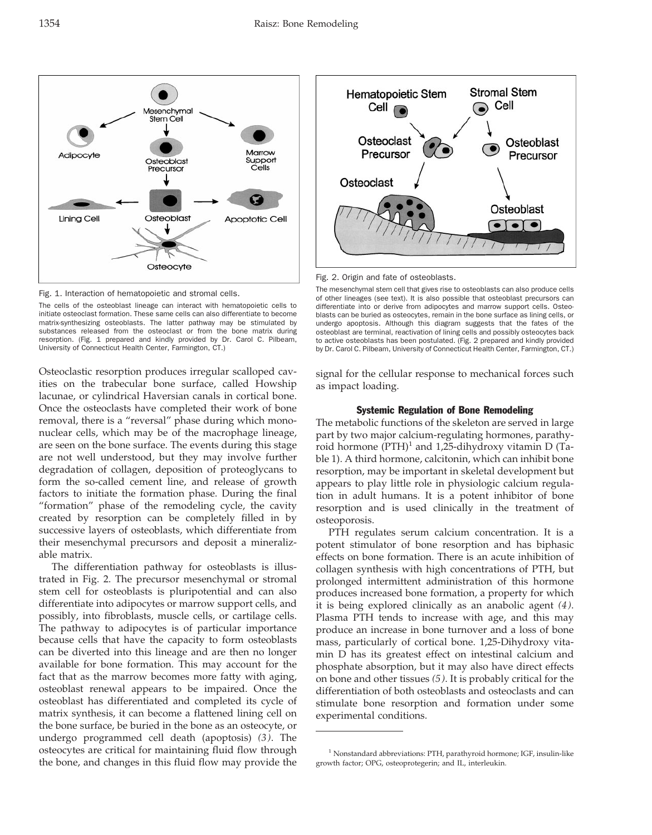Fig. 1. Interaction of hematopoietic and stromal cells.

The cells of the osteoblast lineage can interact with hematopoietic cells to initiate osteoclast formation. These same cells can also differentiate to become matrix-synthesizing osteoblasts. The latter pathway may be stimulated by substances released from the osteoclast or from the bone matrix during resorption. (Fig. 1 prepared and kindly provided by Dr. Carol C. Pilbeam, University of Connecticut Health Center, Farmington, CT.)

Osteoclastic resorption produces irregular scalloped cavities on the trabecular bone surface, called Howship lacunae, or cylindrical Haversian canals in cortical bone. Once the osteoclasts have completed their work of bone removal, there is a "reversal" phase during which mononuclear cells, which may be of the macrophage lineage, are seen on the bone surface. The events during this stage are not well understood, but they may involve further degradation of collagen, deposition of proteoglycans to form the so-called cement line, and release of growth factors to initiate the formation phase. During the final "formation" phase of the remodeling cycle, the cavity created by resorption can be completely filled in by successive layers of osteoblasts, which differentiate from their mesenchymal precursors and deposit a mineralizable matrix.

The differentiation pathway for osteoblasts is illustrated in Fig. 2. The precursor mesenchymal or stromal stem cell for osteoblasts is pluripotential and can also differentiate into adipocytes or marrow support cells, and possibly, into fibroblasts, muscle cells, or cartilage cells. The pathway to adipocytes is of particular importance because cells that have the capacity to form osteoblasts can be diverted into this lineage and are then no longer available for bone formation. This may account for the fact that as the marrow becomes more fatty with aging, osteoblast renewal appears to be impaired. Once the osteoblast has differentiated and completed its cycle of matrix synthesis, it can become a flattened lining cell on the bone surface, be buried in the bone as an osteocyte, or undergo programmed cell death (apoptosis) *(3)*. The osteocytes are critical for maintaining fluid flow through the bone, and changes in this fluid flow may provide the

The mesenchymal stem cell that gives rise to osteoblasts can also produce cells of other lineages (see text). It is also possible that osteoblast precursors can differentiate into or derive from adipocytes and marrow support cells. Osteoblasts can be buried as osteocytes, remain in the bone surface as lining cells, or undergo apoptosis. Although this diagram suggests that the fates of the osteoblast are terminal, reactivation of lining cells and possibly osteocytes back to active osteoblasts has been postulated. (Fig. 2 prepared and kindly provided by Dr. Carol C. Pilbeam, University of Connecticut Health Center, Farmington, CT.)

 $\sqrt{\bullet}$ 

**Stromal Stem** 

Cell

Osteoblast

Precursor

Osteoblast

 $\bullet\bullet\bullet$ 

 $\bigcirc$ 

Fig. 2. Origin and fate of osteoblasts.

**Hematopoietic Stem** 

Cell  $\odot$ 

Osteoclast

Precursor

Osteoclast

signal for the cellular response to mechanical forces such as impact loading.

# Systemic Regulation of Bone Remodeling

The metabolic functions of the skeleton are served in large part by two major calcium-regulating hormones, parathyroid hormone  $(PTH)^1$  and 1,25-dihydroxy vitamin D (Table 1). A third hormone, calcitonin, which can inhibit bone resorption, may be important in skeletal development but appears to play little role in physiologic calcium regulation in adult humans. It is a potent inhibitor of bone resorption and is used clinically in the treatment of osteoporosis.

PTH regulates serum calcium concentration. It is a potent stimulator of bone resorption and has biphasic effects on bone formation. There is an acute inhibition of collagen synthesis with high concentrations of PTH, but prolonged intermittent administration of this hormone produces increased bone formation, a property for which it is being explored clinically as an anabolic agent *(4)*. Plasma PTH tends to increase with age, and this may produce an increase in bone turnover and a loss of bone mass, particularly of cortical bone. 1,25-Dihydroxy vitamin D has its greatest effect on intestinal calcium and phosphate absorption, but it may also have direct effects on bone and other tissues *(5)*. It is probably critical for the differentiation of both osteoblasts and osteoclasts and can stimulate bone resorption and formation under some experimental conditions.





<sup>&</sup>lt;sup>1</sup> Nonstandard abbreviations: PTH, parathyroid hormone; IGF, insulin-like growth factor; OPG, osteoprotegerin; and IL, interleukin.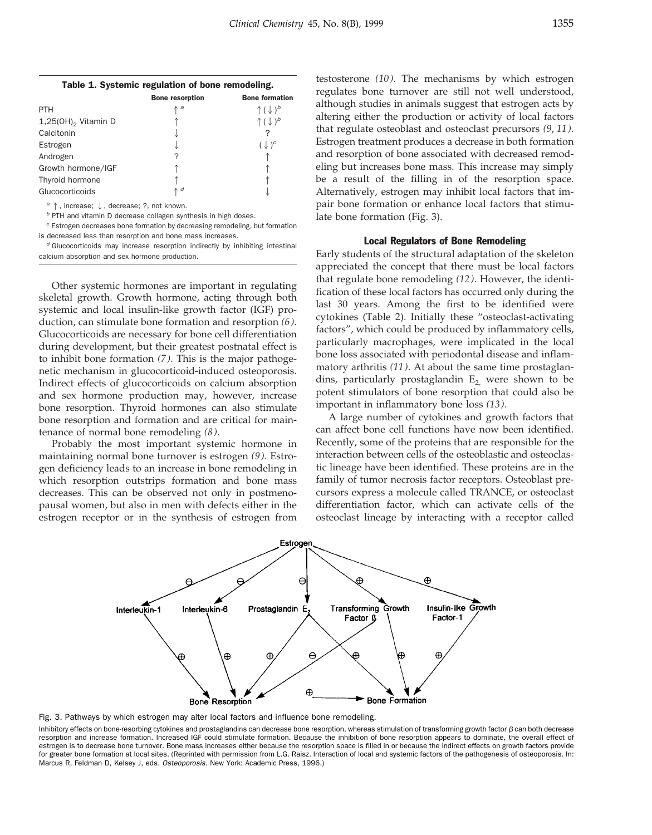| Table 1. Systemic regulation of bone remodeling. |                        |                                                         |  |  |
|--------------------------------------------------|------------------------|---------------------------------------------------------|--|--|
|                                                  | <b>Bone resorption</b> | <b>Bone formation</b>                                   |  |  |
| PTH                                              | $\uparrow$ a           | $\uparrow$ $(\downarrow)$ <sup><math>\circ</math></sup> |  |  |
| $\cdots$                                         |                        | $\cdots$                                                |  |  |

| $1,25(OH)$ <sub>2</sub> Vitamin D |            |                  |
|-----------------------------------|------------|------------------|
| Calcitonin                        |            |                  |
| Estrogen                          |            | $(\downarrow)^c$ |
| Androgen                          |            |                  |
| Growth hormone/IGF                |            |                  |
| Thyroid hormone                   |            |                  |
| Glucocorticoids                   | $\wedge$ d |                  |

a  $\uparrow$ , increase;  $\downarrow$ , decrease; ?, not known.

 $<sup>b</sup>$  PTH and vitamin D decrease collagen synthesis in high doses.</sup>

 $c$  Estrogen decreases bone formation by decreasing remodeling, but formation is decreased less than resorption and bone mass increases.

 $d$  Glucocorticoids may increase resorption indirectly by inhibiting intestinal calcium absorption and sex hormone production.

Other systemic hormones are important in regulating skeletal growth. Growth hormone, acting through both systemic and local insulin-like growth factor (IGF) production, can stimulate bone formation and resorption *(6)*. Glucocorticoids are necessary for bone cell differentiation during development, but their greatest postnatal effect is to inhibit bone formation *(7)*. This is the major pathogenetic mechanism in glucocorticoid-induced osteoporosis. Indirect effects of glucocorticoids on calcium absorption and sex hormone production may, however, increase bone resorption. Thyroid hormones can also stimulate bone resorption and formation and are critical for maintenance of normal bone remodeling *(8)*.

Probably the most important systemic hormone in maintaining normal bone turnover is estrogen *(9)*. Estrogen deficiency leads to an increase in bone remodeling in which resorption outstrips formation and bone mass decreases. This can be observed not only in postmenopausal women, but also in men with defects either in the estrogen receptor or in the synthesis of estrogen from

testosterone *(10)*. The mechanisms by which estrogen regulates bone turnover are still not well understood, although studies in animals suggest that estrogen acts by altering either the production or activity of local factors that regulate osteoblast and osteoclast precursors *(9*, *11)*. Estrogen treatment produces a decrease in both formation and resorption of bone associated with decreased remodeling but increases bone mass. This increase may simply be a result of the filling in of the resorption space. Alternatively, estrogen may inhibit local factors that impair bone formation or enhance local factors that stimulate bone formation (Fig. 3).

# Local Regulators of Bone Remodeling

Early students of the structural adaptation of the skeleton appreciated the concept that there must be local factors that regulate bone remodeling *(12)*. However, the identification of these local factors has occurred only during the last 30 years. Among the first to be identified were cytokines (Table 2). Initially these "osteoclast-activating factors", which could be produced by inflammatory cells, particularly macrophages, were implicated in the local bone loss associated with periodontal disease and inflammatory arthritis *(11)*. At about the same time prostaglandins, particularly prostaglandin  $E_2$  were shown to be potent stimulators of bone resorption that could also be important in inflammatory bone loss *(13)*.

A large number of cytokines and growth factors that can affect bone cell functions have now been identified. Recently, some of the proteins that are responsible for the interaction between cells of the osteoblastic and osteoclastic lineage have been identified. These proteins are in the family of tumor necrosis factor receptors. Osteoblast precursors express a molecule called TRANCE, or osteoclast differentiation factor, which can activate cells of the osteoclast lineage by interacting with a receptor called



Fig. 3. Pathways by which estrogen may alter local factors and influence bone remodeling.

Inhibitory effects on bone-resorbing cytokines and prostaglandins can decrease bone resorption, whereas stimulation of transforming growth factor  $\beta$  can both decrease resorption and increase formation. Increased IGF could stimulate formation. Because the inhibition of bone resorption appears to dominate, the overall effect of estrogen is to decrease bone turnover. Bone mass increases either because the resorption space is filled in or because the indirect effects on growth factors provide for greater bone formation at local sites. (Reprinted with permission from L.G. Raisz. Interaction of local and systemic factors of the pathogenesis of osteoporosis. In: Marcus R, Feldman D, Kelsey J, eds. Osteoporosis. New York: Academic Press, 1996.)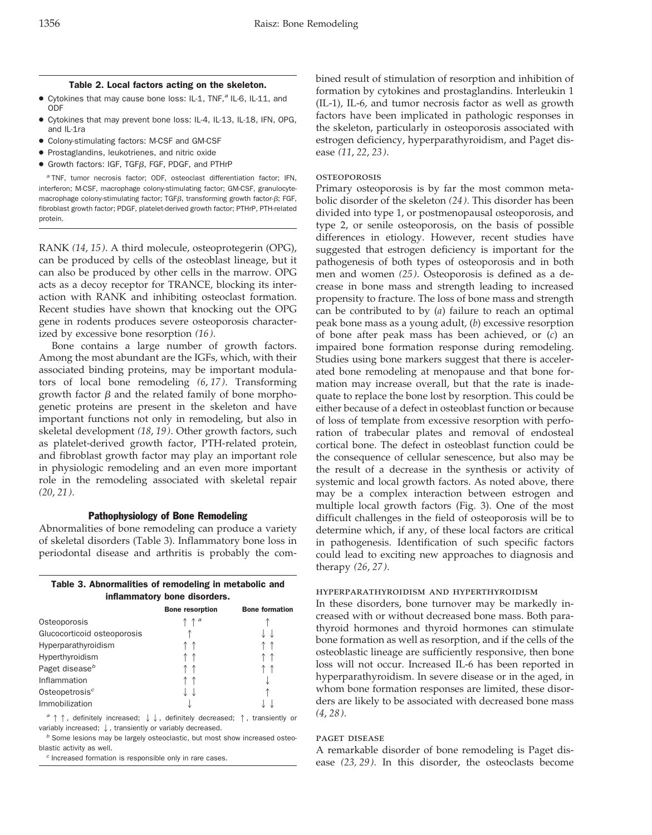#### Table 2. Local factors acting on the skeleton.

- $\bullet$  Cytokines that may cause bone loss: IL-1, TNF, $^a$  IL-6, IL-11, and ODF
- Cytokines that may prevent bone loss: IL-4, IL-13, IL-18, IFN, OPG, and IL-1ra
- Colony-stimulating factors: M-CSF and GM-CSF
- Prostaglandins, leukotrienes, and nitric oxide
- $\bullet$  Growth factors: IGF, TGF $\beta$ , FGF, PDGF, and PTHrP

<sup>a</sup> TNF, tumor necrosis factor; ODF, osteoclast differentiation factor; IFN, interferon; M-CSF, macrophage colony-stimulating factor; GM-CSF, granulocytemacrophage colony-stimulating factor;  $TGF\beta$ , transforming growth factor- $\beta$ ; FGF, fibroblast growth factor; PDGF, platelet-derived growth factor; PTHrP, PTH-related protein.

RANK *(14*, *15)*. A third molecule, osteoprotegerin (OPG), can be produced by cells of the osteoblast lineage, but it can also be produced by other cells in the marrow. OPG acts as a decoy receptor for TRANCE, blocking its interaction with RANK and inhibiting osteoclast formation. Recent studies have shown that knocking out the OPG gene in rodents produces severe osteoporosis characterized by excessive bone resorption *(16)*.

Bone contains a large number of growth factors. Among the most abundant are the IGFs, which, with their associated binding proteins, may be important modulators of local bone remodeling *(6*, *17)*. Transforming growth factor  $\beta$  and the related family of bone morphogenetic proteins are present in the skeleton and have important functions not only in remodeling, but also in skeletal development *(18*, *19)*. Other growth factors, such as platelet-derived growth factor, PTH-related protein, and fibroblast growth factor may play an important role in physiologic remodeling and an even more important role in the remodeling associated with skeletal repair *(20*, *21)*.

## Pathophysiology of Bone Remodeling

Abnormalities of bone remodeling can produce a variety of skeletal disorders (Table 3). Inflammatory bone loss in periodontal disease and arthritis is probably the com-

|                              | Table 3. Abnormalities of remodeling in metabolic and |  |  |  |  |  |  |
|------------------------------|-------------------------------------------------------|--|--|--|--|--|--|
| inflammatory bone disorders. |                                                       |  |  |  |  |  |  |
|                              |                                                       |  |  |  |  |  |  |

|                             | <b>Bone resorption</b>           | <b>Bone formation</b> |
|-----------------------------|----------------------------------|-----------------------|
| Osteoporosis                | $\uparrow \uparrow$ <sup>a</sup> |                       |
| Glucocorticoid osteoporosis |                                  |                       |
| Hyperparathyroidism         |                                  |                       |
| Hyperthyroidism             |                                  |                       |
| Paget disease <sup>b</sup>  |                                  |                       |
| Inflammation                |                                  |                       |
| Osteopetrosis <sup>c</sup>  |                                  |                       |
| Immobilization              |                                  |                       |
|                             |                                  |                       |

 $a \uparrow \uparrow$ , definitely increased;  $\downarrow \downarrow$ , definitely decreased;  $\uparrow$ , transiently or variably increased;  $\downarrow$ , transiently or variably decreased.

 $<sup>b</sup>$  Some lesions may be largely osteoclastic, but most show increased osteo-</sup> blastic activity as well.

<sup>c</sup> Increased formation is responsible only in rare cases.

bined result of stimulation of resorption and inhibition of formation by cytokines and prostaglandins. Interleukin 1 (IL-1), IL-6, and tumor necrosis factor as well as growth factors have been implicated in pathologic responses in the skeleton, particularly in osteoporosis associated with estrogen deficiency, hyperparathyroidism, and Paget disease *(11*, *22*, *23)*.

## **OSTEOPOROSIS**

Primary osteoporosis is by far the most common metabolic disorder of the skeleton *(24)*. This disorder has been divided into type 1, or postmenopausal osteoporosis, and type 2, or senile osteoporosis, on the basis of possible differences in etiology. However, recent studies have suggested that estrogen deficiency is important for the pathogenesis of both types of osteoporosis and in both men and women *(25)*. Osteoporosis is defined as a decrease in bone mass and strength leading to increased propensity to fracture. The loss of bone mass and strength can be contributed to by (*a*) failure to reach an optimal peak bone mass as a young adult, (*b*) excessive resorption of bone after peak mass has been achieved, or (*c*) an impaired bone formation response during remodeling. Studies using bone markers suggest that there is accelerated bone remodeling at menopause and that bone formation may increase overall, but that the rate is inadequate to replace the bone lost by resorption. This could be either because of a defect in osteoblast function or because of loss of template from excessive resorption with perforation of trabecular plates and removal of endosteal cortical bone. The defect in osteoblast function could be the consequence of cellular senescence, but also may be the result of a decrease in the synthesis or activity of systemic and local growth factors. As noted above, there may be a complex interaction between estrogen and multiple local growth factors (Fig. 3). One of the most difficult challenges in the field of osteoporosis will be to determine which, if any, of these local factors are critical in pathogenesis. Identification of such specific factors could lead to exciting new approaches to diagnosis and therapy *(26*, *27)*.

#### hyperparathyroidism and hyperthyroidism

In these disorders, bone turnover may be markedly increased with or without decreased bone mass. Both parathyroid hormones and thyroid hormones can stimulate bone formation as well as resorption, and if the cells of the osteoblastic lineage are sufficiently responsive, then bone loss will not occur. Increased IL-6 has been reported in hyperparathyroidism. In severe disease or in the aged, in whom bone formation responses are limited, these disorders are likely to be associated with decreased bone mass *(4*, *28)*.

# paget disease

A remarkable disorder of bone remodeling is Paget disease *(23, 29)*. In this disorder, the osteoclasts become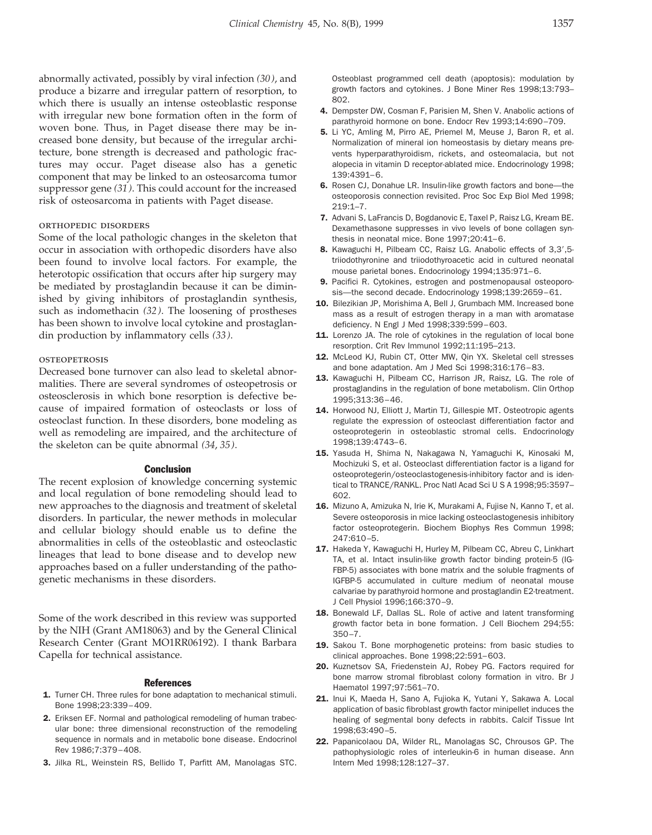abnormally activated, possibly by viral infection *(30)*, and produce a bizarre and irregular pattern of resorption, to which there is usually an intense osteoblastic response with irregular new bone formation often in the form of woven bone. Thus, in Paget disease there may be increased bone density, but because of the irregular architecture, bone strength is decreased and pathologic fractures may occur. Paget disease also has a genetic component that may be linked to an osteosarcoma tumor suppressor gene *(31)*. This could account for the increased risk of osteosarcoma in patients with Paget disease.

## orthopedic disorders

Some of the local pathologic changes in the skeleton that occur in association with orthopedic disorders have also been found to involve local factors. For example, the heterotopic ossification that occurs after hip surgery may be mediated by prostaglandin because it can be diminished by giving inhibitors of prostaglandin synthesis, such as indomethacin *(32)*. The loosening of prostheses has been shown to involve local cytokine and prostaglandin production by inflammatory cells *(33)*.

# **OSTEOPETROSIS**

Decreased bone turnover can also lead to skeletal abnormalities. There are several syndromes of osteopetrosis or osteosclerosis in which bone resorption is defective because of impaired formation of osteoclasts or loss of osteoclast function. In these disorders, bone modeling as well as remodeling are impaired, and the architecture of the skeleton can be quite abnormal *(34*, *35)*.

## **Conclusion**

The recent explosion of knowledge concerning systemic and local regulation of bone remodeling should lead to new approaches to the diagnosis and treatment of skeletal disorders. In particular, the newer methods in molecular and cellular biology should enable us to define the abnormalities in cells of the osteoblastic and osteoclastic lineages that lead to bone disease and to develop new approaches based on a fuller understanding of the pathogenetic mechanisms in these disorders.

Some of the work described in this review was supported by the NIH (Grant AM18063) and by the General Clinical Research Center (Grant MO1RR06192). I thank Barbara Capella for technical assistance.

#### References

- 1. Turner CH. Three rules for bone adaptation to mechanical stimuli. Bone 1998;23:339–409.
- 2. Eriksen EF. Normal and pathological remodeling of human trabecular bone: three dimensional reconstruction of the remodeling sequence in normals and in metabolic bone disease. Endocrinol Rev 1986;7:379–408.
- 3. Jilka RL, Weinstein RS, Bellido T, Parfitt AM, Manolagas STC.

Osteoblast programmed cell death (apoptosis): modulation by growth factors and cytokines. J Bone Miner Res 1998;13:793– 802.

- 4. Dempster DW, Cosman F, Parisien M, Shen V. Anabolic actions of parathyroid hormone on bone. Endocr Rev 1993;14:690–709.
- 5. Li YC, Amling M, Pirro AE, Priemel M, Meuse J, Baron R, et al. Normalization of mineral ion homeostasis by dietary means prevents hyperparathyroidism, rickets, and osteomalacia, but not alopecia in vitamin D receptor-ablated mice. Endocrinology 1998; 139:4391–6.
- 6. Rosen CJ, Donahue LR. Insulin-like growth factors and bone—the osteoporosis connection revisited. Proc Soc Exp Biol Med 1998; 219:1–7.
- 7. Advani S, LaFrancis D, Bogdanovic E, Taxel P, Raisz LG, Kream BE. Dexamethasone suppresses in vivo levels of bone collagen synthesis in neonatal mice. Bone 1997;20:41–6.
- 8. Kawaguchi H, Pilbeam CC, Raisz LG. Anabolic effects of 3,3',5triiodothyronine and triiodothyroacetic acid in cultured neonatal mouse parietal bones. Endocrinology 1994;135:971–6.
- 9. Pacifici R. Cytokines, estrogen and postmenopausal osteoporosis—the second decade. Endocrinology 1998;139:2659–61.
- 10. Bilezikian JP, Morishima A, Bell J, Grumbach MM. Increased bone mass as a result of estrogen therapy in a man with aromatase deficiency. N Engl J Med 1998;339:599–603.
- 11. Lorenzo JA. The role of cytokines in the regulation of local bone resorption. Crit Rev Immunol 1992;11:195–213.
- 12. McLeod KJ, Rubin CT, Otter MW, Qin YX. Skeletal cell stresses and bone adaptation. Am J Med Sci 1998;316:176–83.
- 13. Kawaguchi H, Pilbeam CC, Harrison JR, Raisz, LG. The role of prostaglandins in the regulation of bone metabolism. Clin Orthop 1995;313:36–46.
- 14. Horwood NJ, Elliott J, Martin TJ, Gillespie MT. Osteotropic agents regulate the expression of osteoclast differentiation factor and osteoprotegerin in osteoblastic stromal cells. Endocrinology 1998;139:4743–6.
- 15. Yasuda H, Shima N, Nakagawa N, Yamaguchi K, Kinosaki M, Mochizuki S, et al. Osteoclast differentiation factor is a ligand for osteoprotegerin/osteoclastogenesis-inhibitory factor and is identical to TRANCE/RANKL. Proc Natl Acad Sci U S A 1998;95:3597-602.
- 16. Mizuno A, Amizuka N, Irie K, Murakami A, Fujise N, Kanno T, et al. Severe osteoporosis in mice lacking osteoclastogenesis inhibitory factor osteoprotegerin. Biochem Biophys Res Commun 1998; 247:610–5.
- 17. Hakeda Y, Kawaguchi H, Hurley M, Pilbeam CC, Abreu C, Linkhart TA, et al. Intact insulin-like growth factor binding protein-5 (IG-FBP-5) associates with bone matrix and the soluble fragments of IGFBP-5 accumulated in culture medium of neonatal mouse calvariae by parathyroid hormone and prostaglandin E2-treatment. J Cell Physiol 1996;166:370–9.
- 18. Bonewald LF, Dallas SL. Role of active and latent transforming growth factor beta in bone formation. J Cell Biochem 294;55: 350–7.
- 19. Sakou T. Bone morphogenetic proteins: from basic studies to clinical approaches. Bone 1998;22:591–603.
- 20. Kuznetsov SA, Friedenstein AJ, Robey PG, Factors required for bone marrow stromal fibroblast colony formation in vitro. Br J Haematol 1997;97:561–70.
- 21. Inui K, Maeda H, Sano A, Fujioka K, Yutani Y, Sakawa A. Local application of basic fibroblast growth factor minipellet induces the healing of segmental bony defects in rabbits. Calcif Tissue Int 1998;63:490–5.
- 22. Papanicolaou DA, Wilder RL, Manolagas SC, Chrousos GP. The pathophysiologic roles of interleukin-6 in human disease. Ann Intern Med 1998;128:127–37.